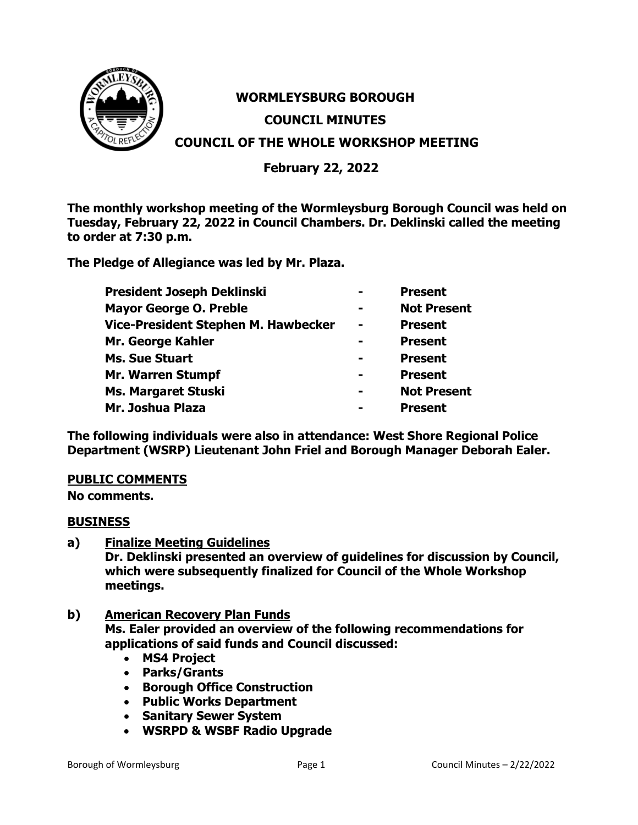

# **WORMLEYSBURG BOROUGH COUNCIL MINUTES COUNCIL OF THE WHOLE WORKSHOP MEETING**

# **February 22, 2022**

**The monthly workshop meeting of the Wormleysburg Borough Council was held on Tuesday, February 22, 2022 in Council Chambers. Dr. Deklinski called the meeting to order at 7:30 p.m.** 

**The Pledge of Allegiance was led by Mr. Plaza.** 

| President Joseph Deklinski          |                | <b>Present</b>     |
|-------------------------------------|----------------|--------------------|
| <b>Mayor George O. Preble</b>       |                | <b>Not Present</b> |
| Vice-President Stephen M. Hawbecker | $\blacksquare$ | <b>Present</b>     |
| Mr. George Kahler                   |                | <b>Present</b>     |
| <b>Ms. Sue Stuart</b>               |                | <b>Present</b>     |
| <b>Mr. Warren Stumpf</b>            |                | <b>Present</b>     |
| Ms. Margaret Stuski                 | $\equiv$       | <b>Not Present</b> |
| Mr. Joshua Plaza                    | -              | <b>Present</b>     |

**The following individuals were also in attendance: West Shore Regional Police Department (WSRP) Lieutenant John Friel and Borough Manager Deborah Ealer.** 

## **PUBLIC COMMENTS**

**No comments.**

#### **BUSINESS**

**a) Finalize Meeting Guidelines**

**Dr. Deklinski presented an overview of guidelines for discussion by Council, which were subsequently finalized for Council of the Whole Workshop meetings.**

- **b) American Recovery Plan Funds Ms. Ealer provided an overview of the following recommendations for applications of said funds and Council discussed:**
	- **MS4 Project**
	- **Parks/Grants**
	- **Borough Office Construction**
	- **Public Works Department**
	- **Sanitary Sewer System**
	- **WSRPD & WSBF Radio Upgrade**